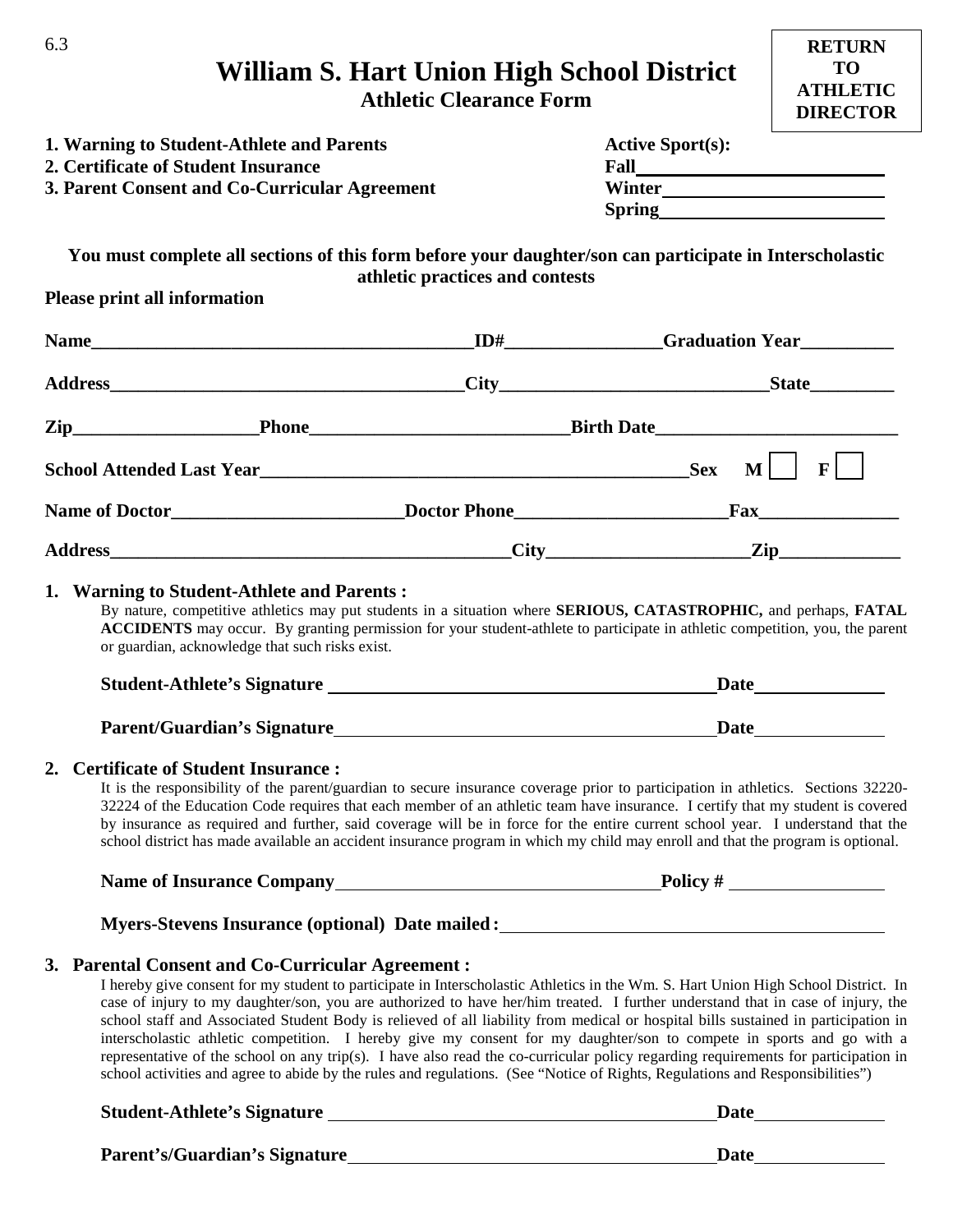| 6.3                                                                                                     | William S. Hart Union High School District                                                                                                                                                                                                                                                                                                                                                                                                                                                                                                                                                                                                                                                                                                                                                                  |                         | <b>RETURN</b><br><b>TO</b>         |
|---------------------------------------------------------------------------------------------------------|-------------------------------------------------------------------------------------------------------------------------------------------------------------------------------------------------------------------------------------------------------------------------------------------------------------------------------------------------------------------------------------------------------------------------------------------------------------------------------------------------------------------------------------------------------------------------------------------------------------------------------------------------------------------------------------------------------------------------------------------------------------------------------------------------------------|-------------------------|------------------------------------|
|                                                                                                         | <b>Athletic Clearance Form</b>                                                                                                                                                                                                                                                                                                                                                                                                                                                                                                                                                                                                                                                                                                                                                                              |                         | <b>ATHLETIC</b><br><b>DIRECTOR</b> |
| 1. Warning to Student-Athlete and Parents<br>2. Certificate of Student Insurance                        |                                                                                                                                                                                                                                                                                                                                                                                                                                                                                                                                                                                                                                                                                                                                                                                                             | <b>Active Sport(s):</b> |                                    |
| 3. Parent Consent and Co-Curricular Agreement                                                           |                                                                                                                                                                                                                                                                                                                                                                                                                                                                                                                                                                                                                                                                                                                                                                                                             | Winter                  |                                    |
|                                                                                                         |                                                                                                                                                                                                                                                                                                                                                                                                                                                                                                                                                                                                                                                                                                                                                                                                             |                         |                                    |
|                                                                                                         |                                                                                                                                                                                                                                                                                                                                                                                                                                                                                                                                                                                                                                                                                                                                                                                                             |                         |                                    |
| You must complete all sections of this form before your daughter/son can participate in Interscholastic | athletic practices and contests                                                                                                                                                                                                                                                                                                                                                                                                                                                                                                                                                                                                                                                                                                                                                                             |                         |                                    |
| Please print all information                                                                            |                                                                                                                                                                                                                                                                                                                                                                                                                                                                                                                                                                                                                                                                                                                                                                                                             |                         |                                    |
|                                                                                                         |                                                                                                                                                                                                                                                                                                                                                                                                                                                                                                                                                                                                                                                                                                                                                                                                             |                         |                                    |
|                                                                                                         |                                                                                                                                                                                                                                                                                                                                                                                                                                                                                                                                                                                                                                                                                                                                                                                                             |                         |                                    |
|                                                                                                         |                                                                                                                                                                                                                                                                                                                                                                                                                                                                                                                                                                                                                                                                                                                                                                                                             |                         |                                    |
| Zip________________________Phone_________________________________Birth Date_________________________    |                                                                                                                                                                                                                                                                                                                                                                                                                                                                                                                                                                                                                                                                                                                                                                                                             |                         |                                    |
|                                                                                                         |                                                                                                                                                                                                                                                                                                                                                                                                                                                                                                                                                                                                                                                                                                                                                                                                             |                         |                                    |
|                                                                                                         |                                                                                                                                                                                                                                                                                                                                                                                                                                                                                                                                                                                                                                                                                                                                                                                                             |                         |                                    |
|                                                                                                         |                                                                                                                                                                                                                                                                                                                                                                                                                                                                                                                                                                                                                                                                                                                                                                                                             |                         |                                    |
| or guardian, acknowledge that such risks exist.                                                         | By nature, competitive athletics may put students in a situation where SERIOUS, CATASTROPHIC, and perhaps, FATAL<br>ACCIDENTS may occur. By granting permission for your student-athlete to participate in athletic competition, you, the parent                                                                                                                                                                                                                                                                                                                                                                                                                                                                                                                                                            |                         | Date <u>______________</u>         |
| <b>Parent/Guardian's Signature</b>                                                                      | <b>Date</b>                                                                                                                                                                                                                                                                                                                                                                                                                                                                                                                                                                                                                                                                                                                                                                                                 |                         |                                    |
| 2. Certificate of Student Insurance:                                                                    | It is the responsibility of the parent/guardian to secure insurance coverage prior to participation in athletics. Sections 32220-<br>32224 of the Education Code requires that each member of an athletic team have insurance. I certify that my student is covered<br>by insurance as required and further, said coverage will be in force for the entire current school year. I understand that the<br>school district has made available an accident insurance program in which my child may enroll and that the program is optional.                                                                                                                                                                                                                                                                    |                         |                                    |
|                                                                                                         |                                                                                                                                                                                                                                                                                                                                                                                                                                                                                                                                                                                                                                                                                                                                                                                                             |                         |                                    |
|                                                                                                         |                                                                                                                                                                                                                                                                                                                                                                                                                                                                                                                                                                                                                                                                                                                                                                                                             |                         |                                    |
| 3. Parental Consent and Co-Curricular Agreement :                                                       | I hereby give consent for my student to participate in Interscholastic Athletics in the Wm. S. Hart Union High School District. In<br>case of injury to my daughter/son, you are authorized to have her/him treated. I further understand that in case of injury, the<br>school staff and Associated Student Body is relieved of all liability from medical or hospital bills sustained in participation in<br>interscholastic athletic competition. I hereby give my consent for my daughter/son to compete in sports and go with a<br>representative of the school on any trip(s). I have also read the co-curricular policy regarding requirements for participation in<br>school activities and agree to abide by the rules and regulations. (See "Notice of Rights, Regulations and Responsibilities") |                         |                                    |
|                                                                                                         |                                                                                                                                                                                                                                                                                                                                                                                                                                                                                                                                                                                                                                                                                                                                                                                                             |                         | <b>Date</b> and <b>Date</b>        |
| Parent's/Guardian's Signature                                                                           |                                                                                                                                                                                                                                                                                                                                                                                                                                                                                                                                                                                                                                                                                                                                                                                                             | <b>Date</b>             |                                    |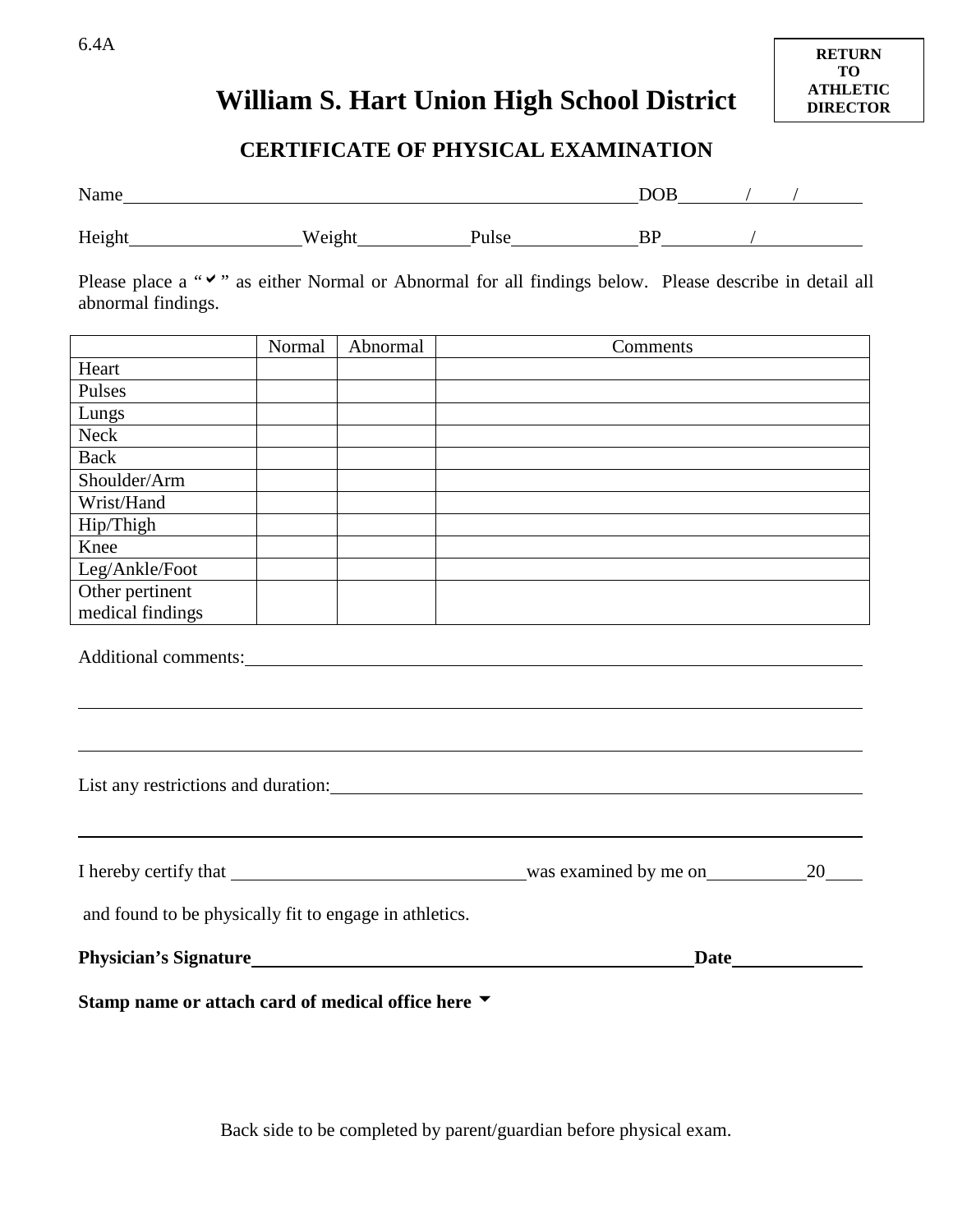#### 6.4A

## **William S. Hart Union High School District**

### **CERTIFICATE OF PHYSICAL EXAMINATION**

| Name                                                                                                                        |        |          |  |          | $DOB$ / /                         |
|-----------------------------------------------------------------------------------------------------------------------------|--------|----------|--|----------|-----------------------------------|
|                                                                                                                             |        |          |  |          |                                   |
| Please place a """ as either Normal or Abnormal for all findings below. Please describe in detail all<br>abnormal findings. |        |          |  |          |                                   |
|                                                                                                                             | Normal | Abnormal |  | Comments |                                   |
| Heart                                                                                                                       |        |          |  |          |                                   |
| Pulses                                                                                                                      |        |          |  |          |                                   |
| Lungs                                                                                                                       |        |          |  |          |                                   |
| Neck                                                                                                                        |        |          |  |          |                                   |
| Back                                                                                                                        |        |          |  |          |                                   |
| Shoulder/Arm                                                                                                                |        |          |  |          |                                   |
| Wrist/Hand                                                                                                                  |        |          |  |          |                                   |
| Hip/Thigh                                                                                                                   |        |          |  |          |                                   |
| Knee                                                                                                                        |        |          |  |          |                                   |
| Leg/Ankle/Foot                                                                                                              |        |          |  |          |                                   |
| Other pertinent                                                                                                             |        |          |  |          |                                   |
| medical findings                                                                                                            |        |          |  |          |                                   |
| Additional comments:                                                                                                        |        |          |  |          |                                   |
| List any restrictions and duration:                                                                                         |        |          |  |          |                                   |
| I hereby certify that was examined by me on                                                                                 |        |          |  |          | 20                                |
| and found to be physically fit to engage in athletics.                                                                      |        |          |  |          |                                   |
|                                                                                                                             |        |          |  |          | $\frac{\text{Date}}{\text{Date}}$ |
| Stamp name or attach card of medical office here ▼                                                                          |        |          |  |          |                                   |

Back side to be completed by parent/guardian before physical exam.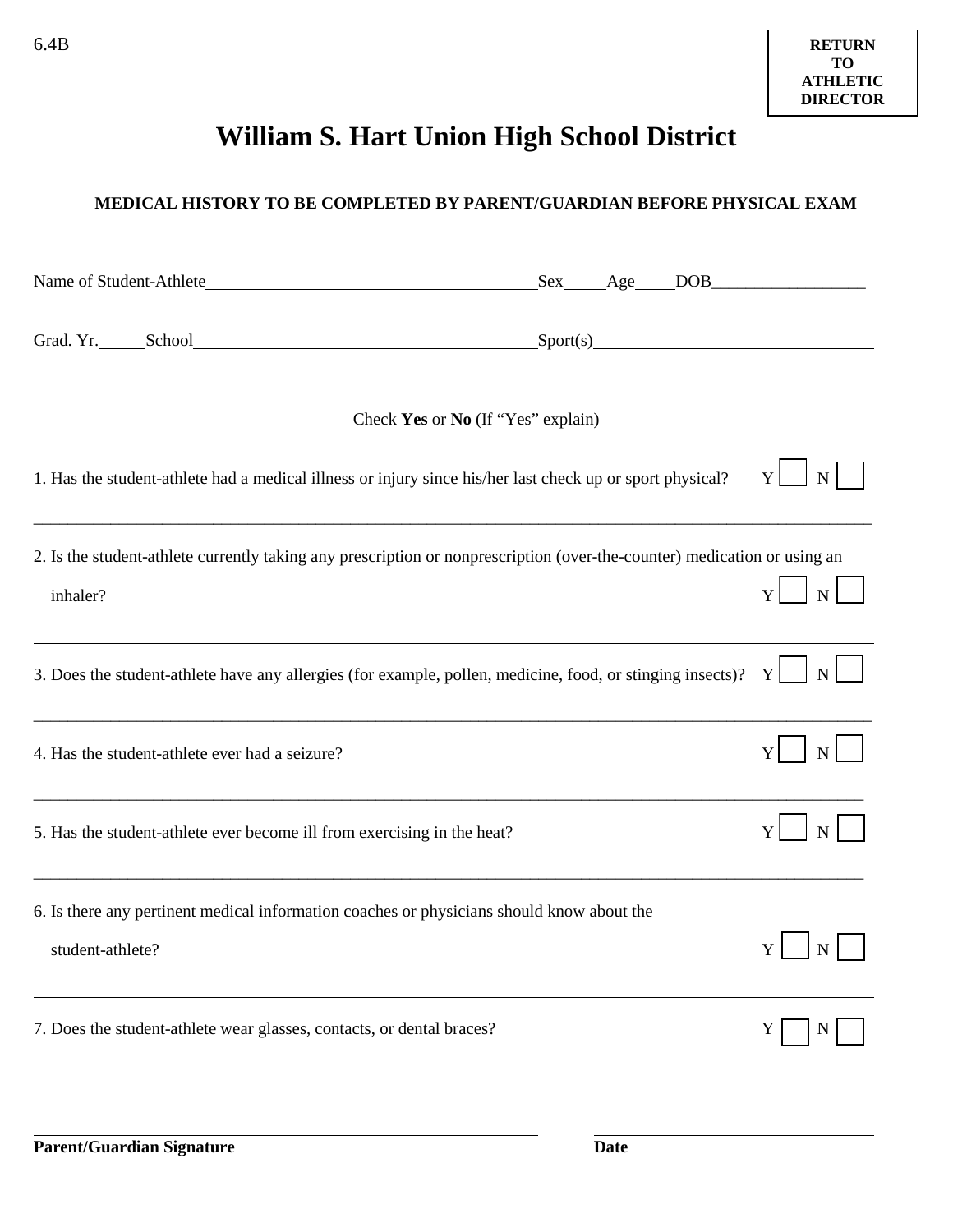# **William S. Hart Union High School District**

#### **MEDICAL HISTORY TO BE COMPLETED BY PARENT/GUARDIAN BEFORE PHYSICAL EXAM**

|                                                                                                                                      | Sex Age DOB |  |                  |
|--------------------------------------------------------------------------------------------------------------------------------------|-------------|--|------------------|
| Grad. Yr. School Sport(s) Sport(s)                                                                                                   |             |  |                  |
| Check Yes or No (If "Yes" explain)                                                                                                   |             |  |                  |
| 1. Has the student-athlete had a medical illness or injury since his/her last check up or sport physical?                            |             |  | Y<br>$\mathbf N$ |
| 2. Is the student-athlete currently taking any prescription or nonprescription (over-the-counter) medication or using an<br>inhaler? |             |  | $\overline{N}$   |
| 3. Does the student-athlete have any allergies (for example, pollen, medicine, food, or stinging insects)?                           |             |  | Y<br>$\mathbf N$ |
| 4. Has the student-athlete ever had a seizure?                                                                                       |             |  | N                |
| 5. Has the student-athlete ever become ill from exercising in the heat?                                                              |             |  | Y<br>$\mathbf N$ |
| 6. Is there any pertinent medical information coaches or physicians should know about the<br>student-athlete?                        |             |  | Y<br>$N_{\rm}$   |
| 7. Does the student-athlete wear glasses, contacts, or dental braces?                                                                |             |  |                  |

 $\overline{a}$